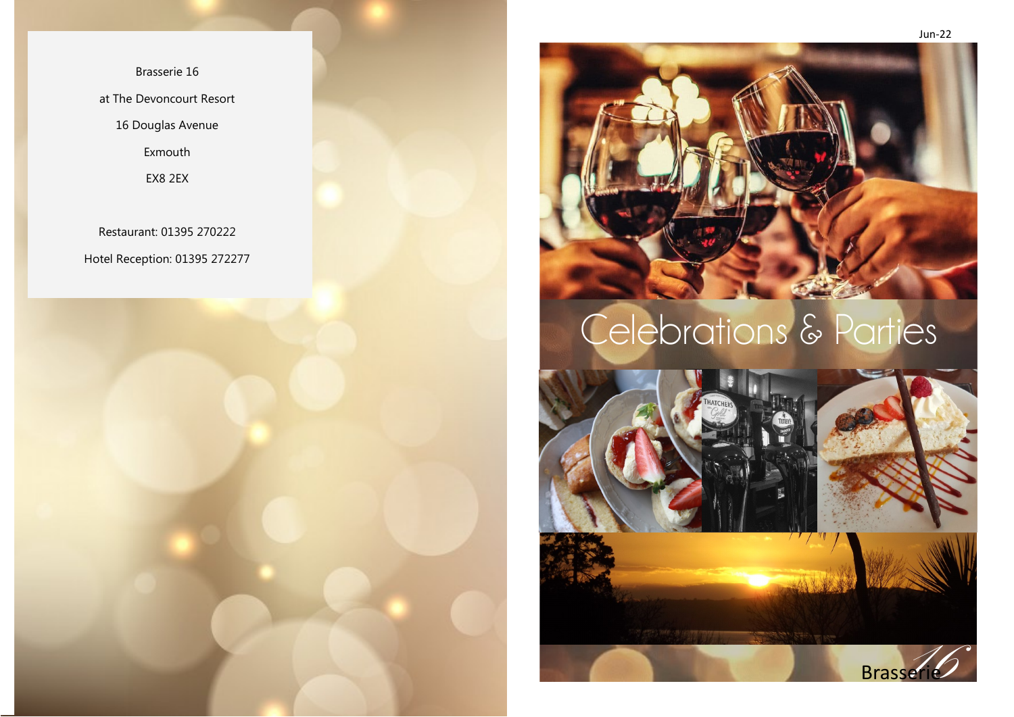Brasserie 16 at The Devoncourt Resort 16 Douglas Avenue Exmouth EX8 2EX

Restaurant: 01395 270222 Hotel Reception: 01395 272277